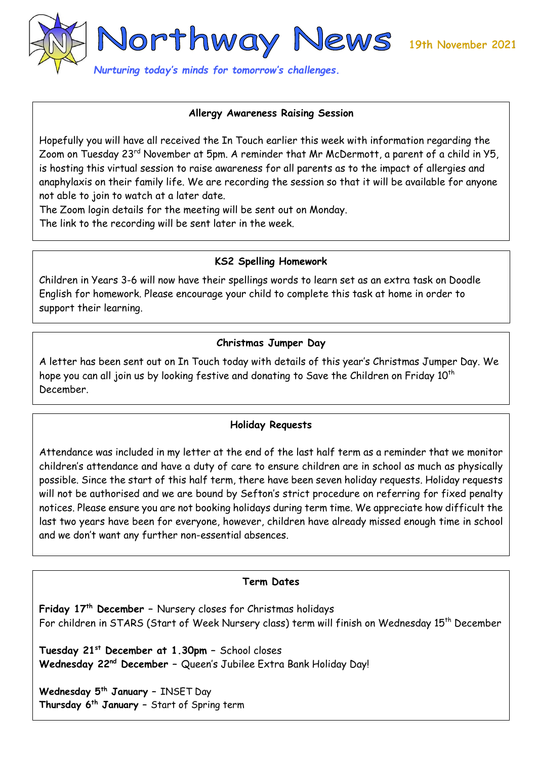

### **Allergy Awareness Raising Session**

Hopefully you will have all received the In Touch earlier this week with information regarding the Zoom on Tuesday 23<sup>rd</sup> November at 5pm. A reminder that Mr McDermott, a parent of a child in Y5, is hosting this virtual session to raise awareness for all parents as to the impact of allergies and anaphylaxis on their family life. We are recording the session so that it will be available for anyone not able to join to watch at a later date.

The Zoom login details for the meeting will be sent out on Monday.

The link to the recording will be sent later in the week.

## **KS2 Spelling Homework**

Children in Years 3-6 will now have their spellings words to learn set as an extra task on Doodle English for homework. Please encourage your child to complete this task at home in order to support their learning.

## **Christmas Jumper Day**

A letter has been sent out on In Touch today with details of this year's Christmas Jumper Day. We hope you can all join us by looking festive and donating to Save the Children on Friday 10<sup>th</sup> December.

### **Holiday Requests**

Attendance was included in my letter at the end of the last half term as a reminder that we monitor children's attendance and have a duty of care to ensure children are in school as much as physically possible. Since the start of this half term, there have been seven holiday requests. Holiday requests will not be authorised and we are bound by Sefton's strict procedure on referring for fixed penalty notices. Please ensure you are not booking holidays during term time. We appreciate how difficult the last two years have been for everyone, however, children have already missed enough time in school and we don't want any further non-essential absences.

### **Term Dates**

**Friday 17th December –** Nursery closes for Christmas holidays For children in STARS (Start of Week Nursery class) term will finish on Wednesday 15<sup>th</sup> December

**Tuesday 21st December at 1.30pm –** School closes **Wednesday 22nd December –** Queen's Jubilee Extra Bank Holiday Day!

**Wednesday 5th January –** INSET Day **Thursday 6th January –** Start of Spring term